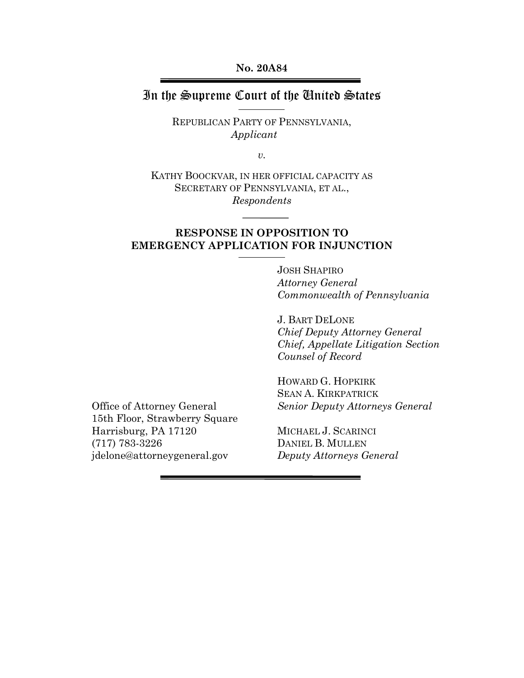**No. 20A84**

## In the Supreme Court of the United States

REPUBLICAN PARTY OF PENNSYLVANIA, *Applicant*

*v.*

KATHY BOOCKVAR, IN HER OFFICIAL CAPACITY AS SECRETARY OF PENNSYLVANIA, ET AL., *Respondents*

### **RESPONSE IN OPPOSITION TO EMERGENCY APPLICATION FOR INJUNCTION**

JOSH SHAPIRO *Attorney General Commonwealth of Pennsylvania*

J. BART DELONE *Chief Deputy Attorney General Chief, Appellate Litigation Section Counsel of Record*

Office of Attorney General 15th Floor, Strawberry Square Harrisburg, PA 17120 (717) 783-3226 jdelone@attorneygeneral.gov

HOWARD G. HOPKIRK SEAN A. KIRKPATRICK *Senior Deputy Attorneys General*

MICHAEL J. SCARINCI DANIEL B. MULLEN *Deputy Attorneys General*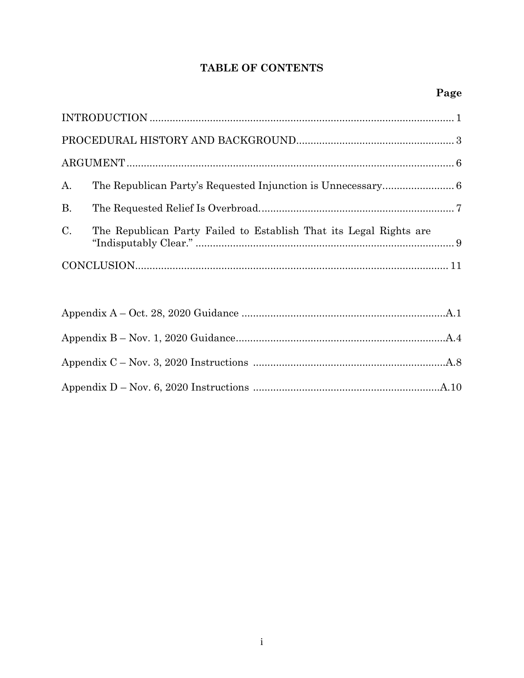## TABLE OF CONTENTS

| A.          |                                                                    |  |  |  |
|-------------|--------------------------------------------------------------------|--|--|--|
| B.          |                                                                    |  |  |  |
| $C_{\cdot}$ | The Republican Party Failed to Establish That its Legal Rights are |  |  |  |
|             |                                                                    |  |  |  |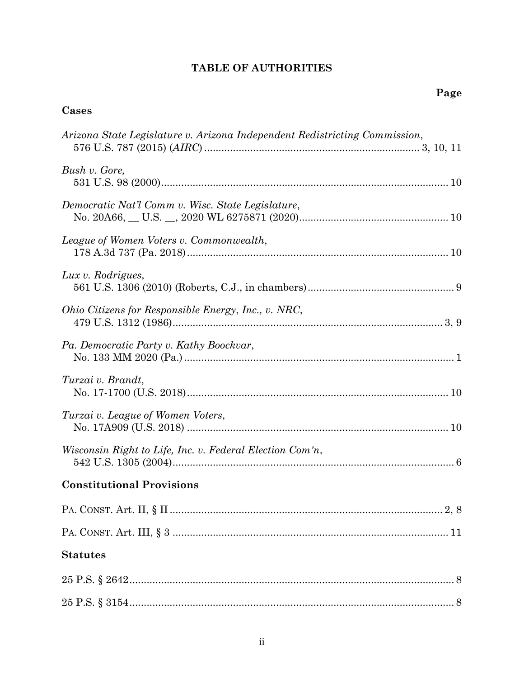# **TABLE OF AUTHORITIES**

## **Cases**

| Arizona State Legislature v. Arizona Independent Redistricting Commission, |
|----------------------------------------------------------------------------|
| Bush v. Gore,                                                              |
| Democratic Nat'l Comm v. Wisc. State Legislature,                          |
| League of Women Voters v. Commonwealth,                                    |
| Lux v. Rodrigues,                                                          |
| Ohio Citizens for Responsible Energy, Inc., v. NRC,                        |
| Pa. Democratic Party v. Kathy Boockvar,                                    |
| Turzai v. Brandt,                                                          |
| Turzai v. League of Women Voters,                                          |
| Wisconsin Right to Life, Inc. v. Federal Election Com'n,                   |
| <b>Constitutional Provisions</b>                                           |
|                                                                            |
|                                                                            |
| <b>Statutes</b>                                                            |
|                                                                            |
|                                                                            |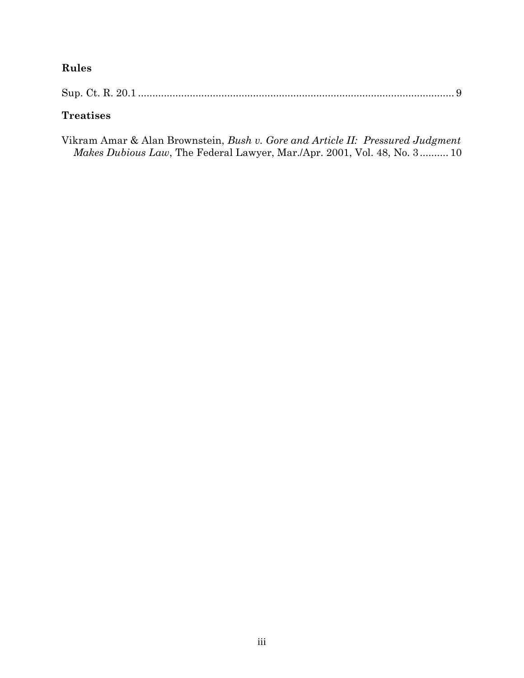# **Rules**

|--|--|

# **Treatises**

| Vikram Amar & Alan Brownstein, Bush v. Gore and Article II: Pressured Judgment   |  |  |  |
|----------------------------------------------------------------------------------|--|--|--|
| <i>Makes Dubious Law</i> , The Federal Lawyer, Mar./Apr. 2001, Vol. 48, No. 3 10 |  |  |  |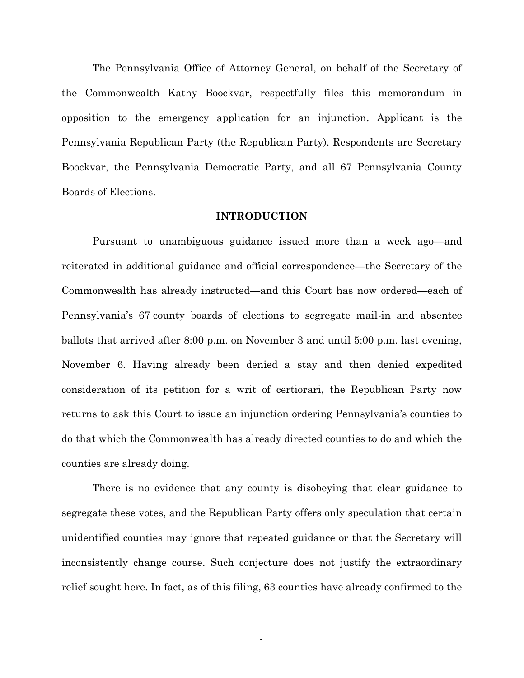The Pennsylvania Office of Attorney General, on behalf of the Secretary of the Commonwealth Kathy Boockvar, respectfully files this memorandum in opposition to the emergency application for an injunction. Applicant is the Pennsylvania Republican Party (the Republican Party). Respondents are Secretary Boockvar, the Pennsylvania Democratic Party, and all 67 Pennsylvania County Boards of Elections.

#### **INTRODUCTION**

<span id="page-4-0"></span>Pursuant to unambiguous guidance issued more than a week ago—and reiterated in additional guidance and official correspondence—the Secretary of the Commonwealth has already instructed—and this Court has now ordered—each of Pennsylvania's 67 county boards of elections to segregate mail-in and absentee ballots that arrived after 8:00 p.m. on November 3 and until 5:00 p.m. last evening, November 6. Having already been denied a stay and then denied expedited consideration of its petition for a writ of certiorari, the Republican Party now returns to ask this Court to issue an injunction ordering Pennsylvania's counties to do that which the Commonwealth has already directed counties to do and which the counties are already doing.

There is no evidence that any county is disobeying that clear guidance to segregate these votes, and the Republican Party offers only speculation that certain unidentified counties may ignore that repeated guidance or that the Secretary will inconsistently change course. Such conjecture does not justify the extraordinary relief sought here. In fact, as of this filing, 63 counties have already confirmed to the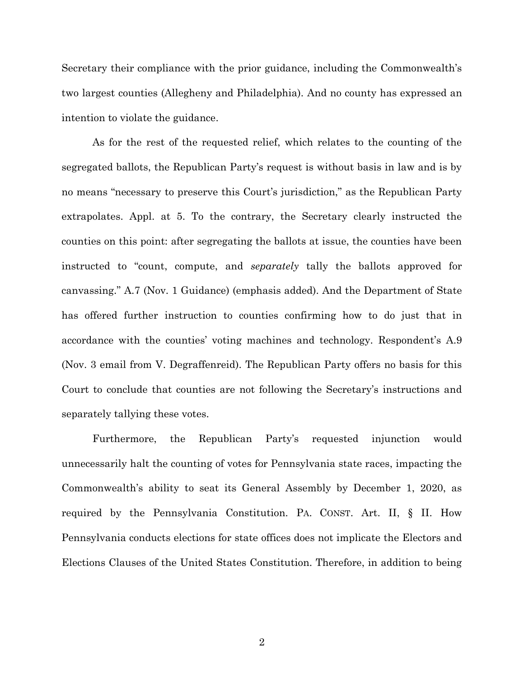Secretary their compliance with the prior guidance, including the Commonwealth's two largest counties (Allegheny and Philadelphia). And no county has expressed an intention to violate the guidance.

As for the rest of the requested relief, which relates to the counting of the segregated ballots, the Republican Party's request is without basis in law and is by no means "necessary to preserve this Court's jurisdiction," as the Republican Party extrapolates. Appl. at 5. To the contrary, the Secretary clearly instructed the counties on this point: after segregating the ballots at issue, the counties have been instructed to "count, compute, and *separately* tally the ballots approved for canvassing." A.7 (Nov. 1 Guidance) (emphasis added). And the Department of State has offered further instruction to counties confirming how to do just that in accordance with the counties' voting machines and technology. Respondent's A.9 (Nov. 3 email from V. Degraffenreid). The Republican Party offers no basis for this Court to conclude that counties are not following the Secretary's instructions and separately tallying these votes.

Furthermore, the Republican Party's requested injunction would unnecessarily halt the counting of votes for Pennsylvania state races, impacting the Commonwealth's ability to seat its General Assembly by December 1, 2020, as required by the Pennsylvania Constitution. PA. CONST. Art. II, § II. How Pennsylvania conducts elections for state offices does not implicate the Electors and Elections Clauses of the United States Constitution. Therefore, in addition to being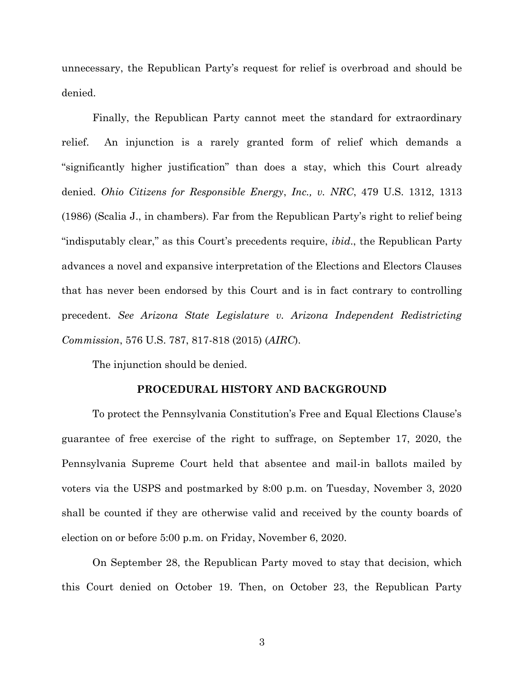unnecessary, the Republican Party's request for relief is overbroad and should be denied.

Finally, the Republican Party cannot meet the standard for extraordinary relief. An injunction is a rarely granted form of relief which demands a "significantly higher justification" than does a stay, which this Court already denied. *Ohio Citizens for Responsible Energy*, *Inc., v. NRC*, 479 U.S. 1312, 1313 (1986) (Scalia J., in chambers). Far from the Republican Party's right to relief being "indisputably clear," as this Court's precedents require, *ibid*., the Republican Party advances a novel and expansive interpretation of the Elections and Electors Clauses that has never been endorsed by this Court and is in fact contrary to controlling precedent. *See Arizona State Legislature v. Arizona Independent Redistricting Commission*, 576 U.S. 787, 817-818 (2015) (*AIRC*).

The injunction should be denied.

#### **PROCEDURAL HISTORY AND BACKGROUND**

<span id="page-6-0"></span>To protect the Pennsylvania Constitution's Free and Equal Elections Clause's guarantee of free exercise of the right to suffrage, on September 17, 2020, the Pennsylvania Supreme Court held that absentee and mail-in ballots mailed by voters via the USPS and postmarked by 8:00 p.m. on Tuesday, November 3, 2020 shall be counted if they are otherwise valid and received by the county boards of election on or before 5:00 p.m. on Friday, November 6, 2020.

On September 28, the Republican Party moved to stay that decision, which this Court denied on October 19. Then, on October 23, the Republican Party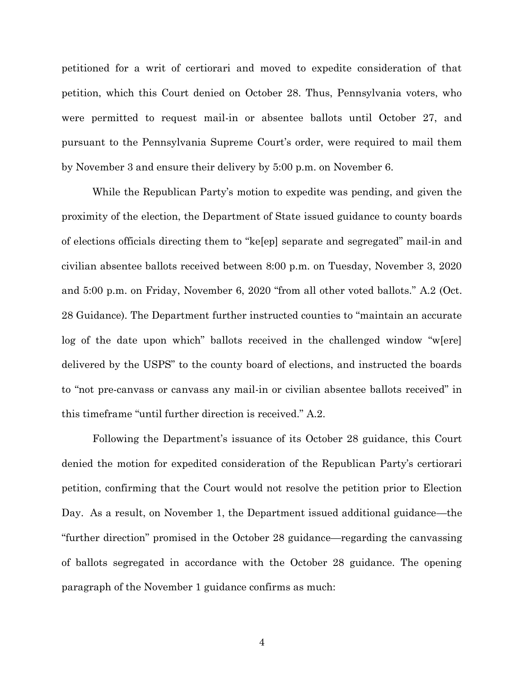petitioned for a writ of certiorari and moved to expedite consideration of that petition, which this Court denied on October 28. Thus, Pennsylvania voters, who were permitted to request mail-in or absentee ballots until October 27, and pursuant to the Pennsylvania Supreme Court's order, were required to mail them by November 3 and ensure their delivery by 5:00 p.m. on November 6.

While the Republican Party's motion to expedite was pending, and given the proximity of the election, the Department of State issued guidance to county boards of elections officials directing them to "ke[ep] separate and segregated" mail-in and civilian absentee ballots received between 8:00 p.m. on Tuesday, November 3, 2020 and 5:00 p.m. on Friday, November 6, 2020 "from all other voted ballots." A.2 (Oct. 28 Guidance). The Department further instructed counties to "maintain an accurate log of the date upon which" ballots received in the challenged window "w[ere] delivered by the USPS" to the county board of elections, and instructed the boards to "not pre-canvass or canvass any mail-in or civilian absentee ballots received" in this timeframe "until further direction is received." A.2.

Following the Department's issuance of its October 28 guidance, this Court denied the motion for expedited consideration of the Republican Party's certiorari petition, confirming that the Court would not resolve the petition prior to Election Day. As a result, on November 1, the Department issued additional guidance—the "further direction" promised in the October 28 guidance—regarding the canvassing of ballots segregated in accordance with the October 28 guidance. The opening paragraph of the November 1 guidance confirms as much: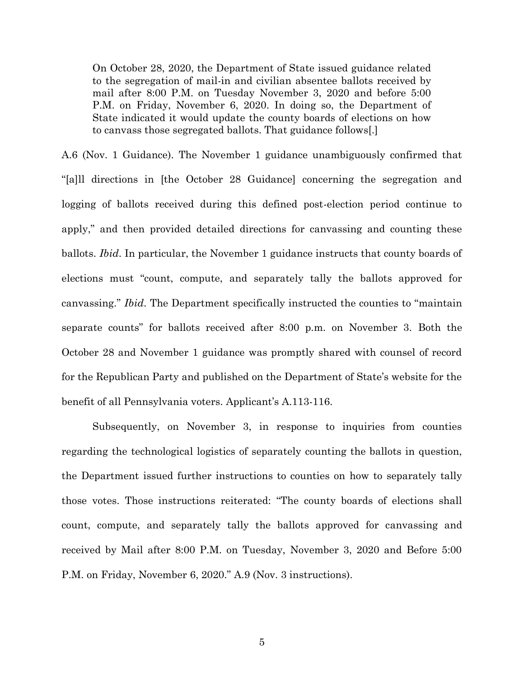On October 28, 2020, the Department of State issued guidance related to the segregation of mail-in and civilian absentee ballots received by mail after 8:00 P.M. on Tuesday November 3, 2020 and before 5:00 P.M. on Friday, November 6, 2020. In doing so, the Department of State indicated it would update the county boards of elections on how to canvass those segregated ballots. That guidance follows[.]

A.6 (Nov. 1 Guidance). The November 1 guidance unambiguously confirmed that "[a]ll directions in [the October 28 Guidance] concerning the segregation and logging of ballots received during this defined post-election period continue to apply," and then provided detailed directions for canvassing and counting these ballots. *Ibid*. In particular, the November 1 guidance instructs that county boards of elections must "count, compute, and separately tally the ballots approved for canvassing." *Ibid*. The Department specifically instructed the counties to "maintain separate counts" for ballots received after 8:00 p.m. on November 3. Both the October 28 and November 1 guidance was promptly shared with counsel of record for the Republican Party and published on the Department of State's website for the benefit of all Pennsylvania voters. Applicant's A.113-116.

Subsequently, on November 3, in response to inquiries from counties regarding the technological logistics of separately counting the ballots in question, the Department issued further instructions to counties on how to separately tally those votes. Those instructions reiterated: "The county boards of elections shall count, compute, and separately tally the ballots approved for canvassing and received by Mail after 8:00 P.M. on Tuesday, November 3, 2020 and Before 5:00 P.M. on Friday, November 6, 2020." A.9 (Nov. 3 instructions).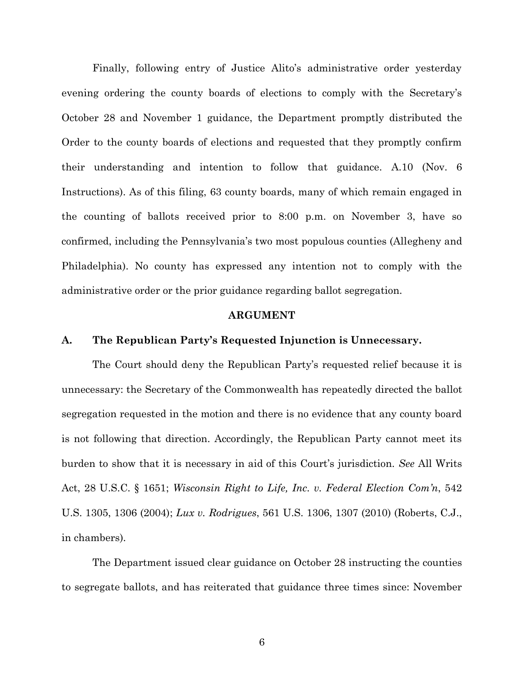Finally, following entry of Justice Alito's administrative order yesterday evening ordering the county boards of elections to comply with the Secretary's October 28 and November 1 guidance, the Department promptly distributed the Order to the county boards of elections and requested that they promptly confirm their understanding and intention to follow that guidance. A.10 (Nov. 6 Instructions). As of this filing, 63 county boards, many of which remain engaged in the counting of ballots received prior to 8:00 p.m. on November 3, have so confirmed, including the Pennsylvania's two most populous counties (Allegheny and Philadelphia). No county has expressed any intention not to comply with the administrative order or the prior guidance regarding ballot segregation.

#### **ARGUMENT**

#### <span id="page-9-1"></span><span id="page-9-0"></span>**A. The Republican Party's Requested Injunction is Unnecessary.**

The Court should deny the Republican Party's requested relief because it is unnecessary: the Secretary of the Commonwealth has repeatedly directed the ballot segregation requested in the motion and there is no evidence that any county board is not following that direction. Accordingly, the Republican Party cannot meet its burden to show that it is necessary in aid of this Court's jurisdiction. *See* All Writs Act, 28 U.S.C. § 1651; *Wisconsin Right to Life, Inc. v. Federal Election Com'n*, 542 U.S. 1305, 1306 (2004); *Lux v. Rodrigues*, 561 U.S. 1306, 1307 (2010) (Roberts, C.J., in chambers).

The Department issued clear guidance on October 28 instructing the counties to segregate ballots, and has reiterated that guidance three times since: November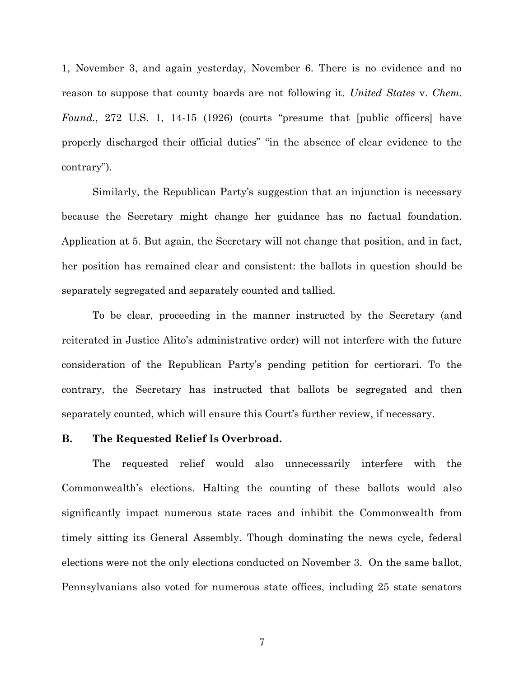1, November 3, and again yesterday, November 6. There is no evidence and no reason to suppose that county boards are not following it. *United States* v. *Chem. Found.*, 272 U.S. 1, 14-15 (1926) (courts "presume that [public officers] have properly discharged their official duties" "in the absence of clear evidence to the contrary").

Similarly, the Republican Party's suggestion that an injunction is necessary because the Secretary might change her guidance has no factual foundation. Application at 5. But again, the Secretary will not change that position, and in fact, her position has remained clear and consistent: the ballots in question should be separately segregated and separately counted and tallied.

To be clear, proceeding in the manner instructed by the Secretary (and reiterated in Justice Alito's administrative order) will not interfere with the future consideration of the Republican Party's pending petition for certiorari. To the contrary, the Secretary has instructed that ballots be segregated and then separately counted, which will ensure this Court's further review, if necessary.

#### <span id="page-10-0"></span>**B. The Requested Relief Is Overbroad.**

The requested relief would also unnecessarily interfere with the Commonwealth's elections. Halting the counting of these ballots would also significantly impact numerous state races and inhibit the Commonwealth from timely sitting its General Assembly. Though dominating the news cycle, federal elections were not the only elections conducted on November 3. On the same ballot, Pennsylvanians also voted for numerous state offices, including 25 state senators

7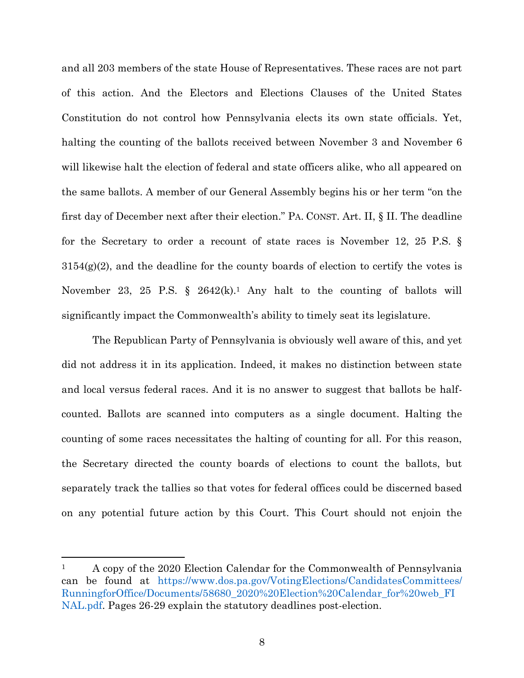and all 203 members of the state House of Representatives. These races are not part of this action. And the Electors and Elections Clauses of the United States Constitution do not control how Pennsylvania elects its own state officials. Yet, halting the counting of the ballots received between November 3 and November 6 will likewise halt the election of federal and state officers alike, who all appeared on the same ballots. A member of our General Assembly begins his or her term "on the first day of December next after their election." PA. CONST. Art. II, § II. The deadline for the Secretary to order a recount of state races is November 12, 25 P.S. §  $3154(g)(2)$ , and the deadline for the county boards of election to certify the votes is November 23, 25 P.S.  $\S$  2642(k).<sup>1</sup> Any halt to the counting of ballots will significantly impact the Commonwealth's ability to timely seat its legislature.

The Republican Party of Pennsylvania is obviously well aware of this, and yet did not address it in its application. Indeed, it makes no distinction between state and local versus federal races. And it is no answer to suggest that ballots be halfcounted. Ballots are scanned into computers as a single document. Halting the counting of some races necessitates the halting of counting for all. For this reason, the Secretary directed the county boards of elections to count the ballots, but separately track the tallies so that votes for federal offices could be discerned based on any potential future action by this Court. This Court should not enjoin the

<sup>&</sup>lt;sup>1</sup> A copy of the 2020 Election Calendar for the Commonwealth of Pennsylvania can be found at [https://www.dos.pa.gov/VotingElections/CandidatesCommittees/](https://www.dos.pa.gov/VotingElections/CandidatesCommittees/RunningforOffice/Documents/58680_2020%20Election%20Calendar_for%20web_FINAL.pdf) [RunningforOffice/Documents/58680\\_2020%20Election%20Calendar\\_for%20web\\_FI](https://www.dos.pa.gov/VotingElections/CandidatesCommittees/RunningforOffice/Documents/58680_2020%20Election%20Calendar_for%20web_FINAL.pdf) [NAL.pdf.](https://www.dos.pa.gov/VotingElections/CandidatesCommittees/RunningforOffice/Documents/58680_2020%20Election%20Calendar_for%20web_FINAL.pdf) Pages 26-29 explain the statutory deadlines post-election.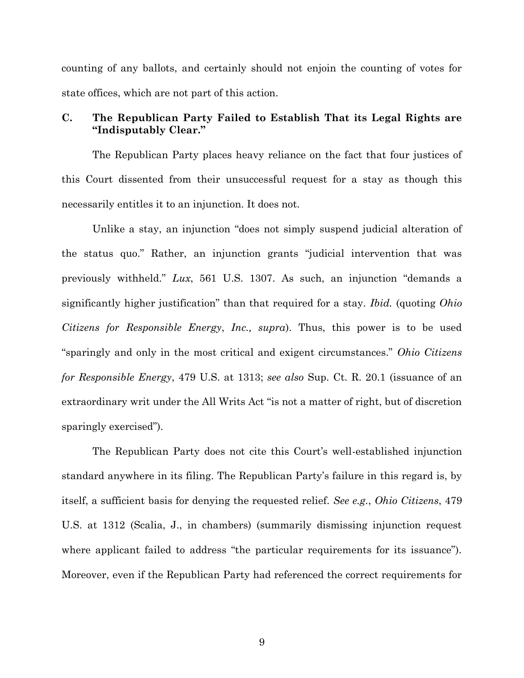counting of any ballots, and certainly should not enjoin the counting of votes for state offices, which are not part of this action.

## <span id="page-12-0"></span>**C. The Republican Party Failed to Establish That its Legal Rights are "Indisputably Clear."**

The Republican Party places heavy reliance on the fact that four justices of this Court dissented from their unsuccessful request for a stay as though this necessarily entitles it to an injunction. It does not.

Unlike a stay, an injunction "does not simply suspend judicial alteration of the status quo." Rather, an injunction grants "judicial intervention that was previously withheld." *Lux*, 561 U.S. 1307. As such, an injunction "demands a significantly higher justification" than that required for a stay. *Ibid.* (quoting *Ohio Citizens for Responsible Energy*, *Inc., supra*). Thus, this power is to be used "sparingly and only in the most critical and exigent circumstances." *Ohio Citizens for Responsible Energy*, 479 U.S. at 1313; *see also* Sup. Ct. R. 20.1 (issuance of an extraordinary writ under the All Writs Act "is not a matter of right, but of discretion sparingly exercised").

The Republican Party does not cite this Court's well-established injunction standard anywhere in its filing. The Republican Party's failure in this regard is, by itself, a sufficient basis for denying the requested relief. *See e.g.*, *Ohio Citizens*, 479 U.S. at 1312 (Scalia, J., in chambers) (summarily dismissing injunction request where applicant failed to address "the particular requirements for its issuance"). Moreover, even if the Republican Party had referenced the correct requirements for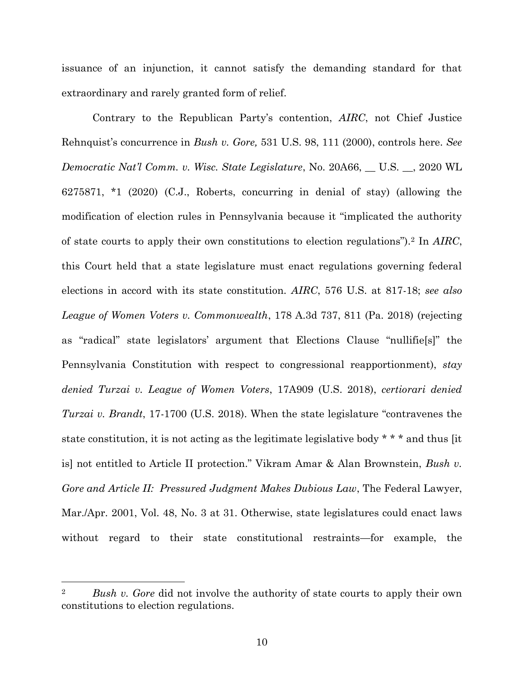issuance of an injunction, it cannot satisfy the demanding standard for that extraordinary and rarely granted form of relief.

Contrary to the Republican Party's contention, *AIRC*, not Chief Justice Rehnquist's concurrence in *Bush v. Gore,* 531 U.S. 98, 111 (2000), controls here. *See Democratic Nat'l Comm. v. Wisc. State Legislature*, No. 20A66, \_\_ U.S. \_\_, 2020 WL 6275871, \*1 (2020) (C.J., Roberts, concurring in denial of stay) (allowing the modification of election rules in Pennsylvania because it "implicated the authority of state courts to apply their own constitutions to election regulations").<sup>2</sup> In *AIRC*, this Court held that a state legislature must enact regulations governing federal elections in accord with its state constitution. *AIRC*, 576 U.S. at 817-18; *see also League of Women Voters v. Commonwealth*, 178 A.3d 737, 811 (Pa. 2018) (rejecting as "radical" state legislators' argument that Elections Clause "nullifie[s]" the Pennsylvania Constitution with respect to congressional reapportionment), *stay denied Turzai v. League of Women Voters*, 17A909 (U.S. 2018), *certiorari denied Turzai v. Brandt*, 17-1700 (U.S. 2018). When the state legislature "contravenes the state constitution, it is not acting as the legitimate legislative body \* \* \* and thus [it is] not entitled to Article II protection." Vikram Amar & Alan Brownstein, *Bush v. Gore and Article II: Pressured Judgment Makes Dubious Law*, The Federal Lawyer, Mar./Apr. 2001, Vol. 48, No. 3 at 31. Otherwise, state legislatures could enact laws without regard to their state constitutional restraints—for example, the

<sup>2</sup> *Bush v. Gore* did not involve the authority of state courts to apply their own constitutions to election regulations.